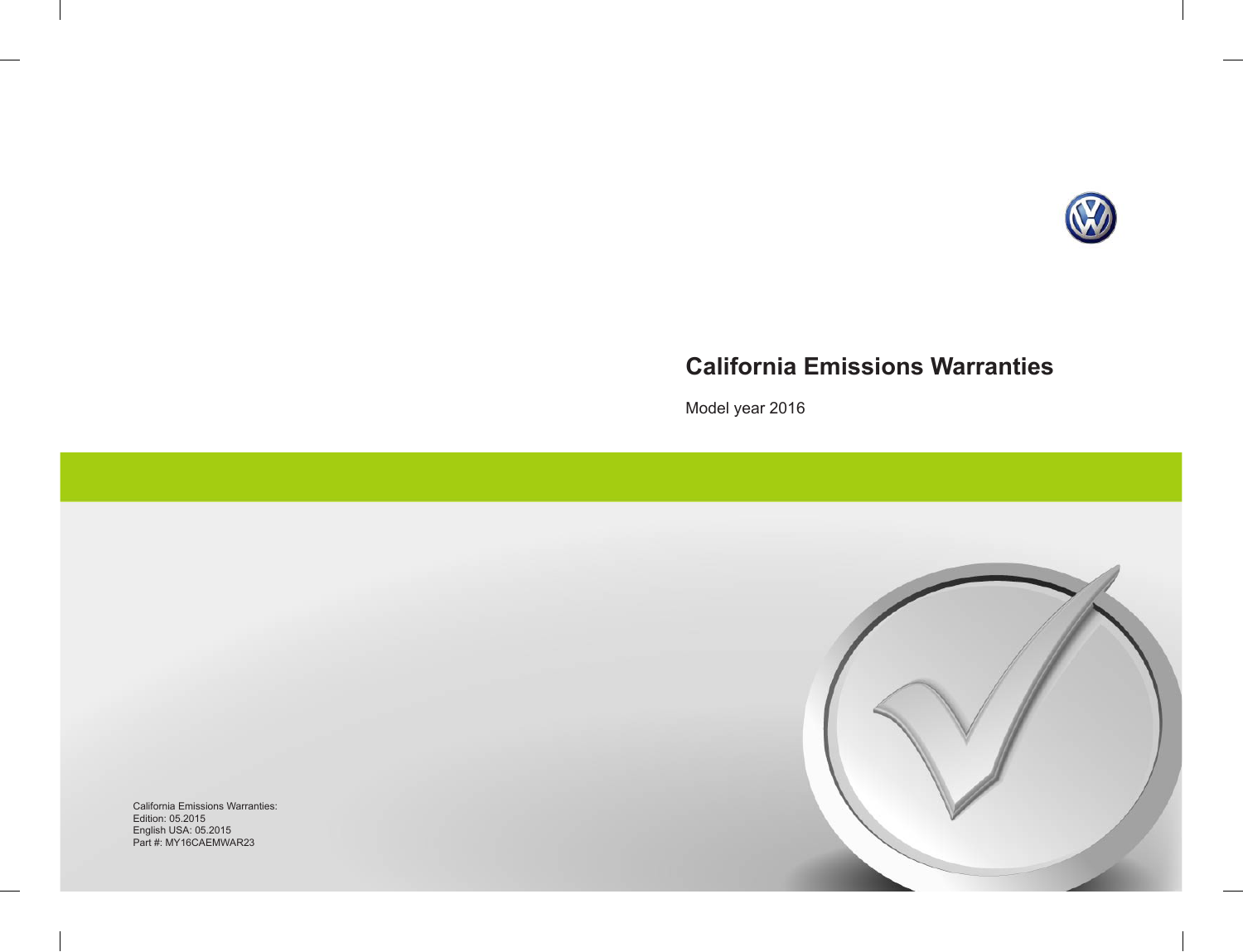

# **California Emissions Warranties**

Model year 2016

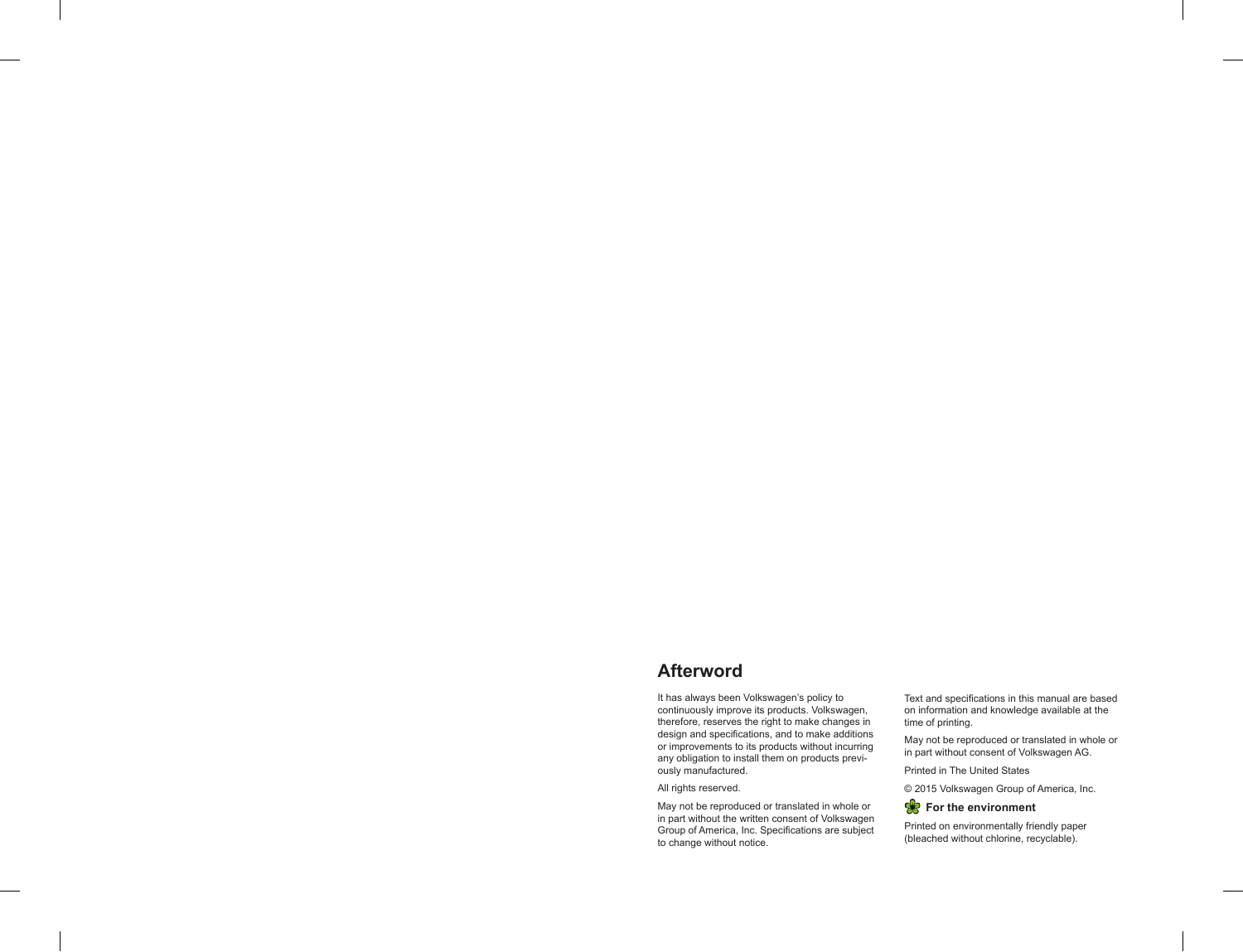# **Afterword**

It has always been Volkswagen's policy to continuously improve its products. Volkswagen, therefore, reserves the right to make changes in design and specifications, and to make additions or improvements to its products without incurring any obligation to install them on products previously manufactured.

All rights reserved.

May not be reproduced or translated in whole or in part without the written consent of Volkswagen Group of America, Inc. Specifications are subject to change without notice.

Text and specifications in this manual are based on information and knowledge available at the time of printing.

May not be reproduced or translated in whole or in part without consent of Volkswagen AG.

Printed in The United States

© 2015 Volkswagen Group of America, Inc.

### **R** For the environment

Printed on environmentally friendly paper (bleached without chlorine, recyclable).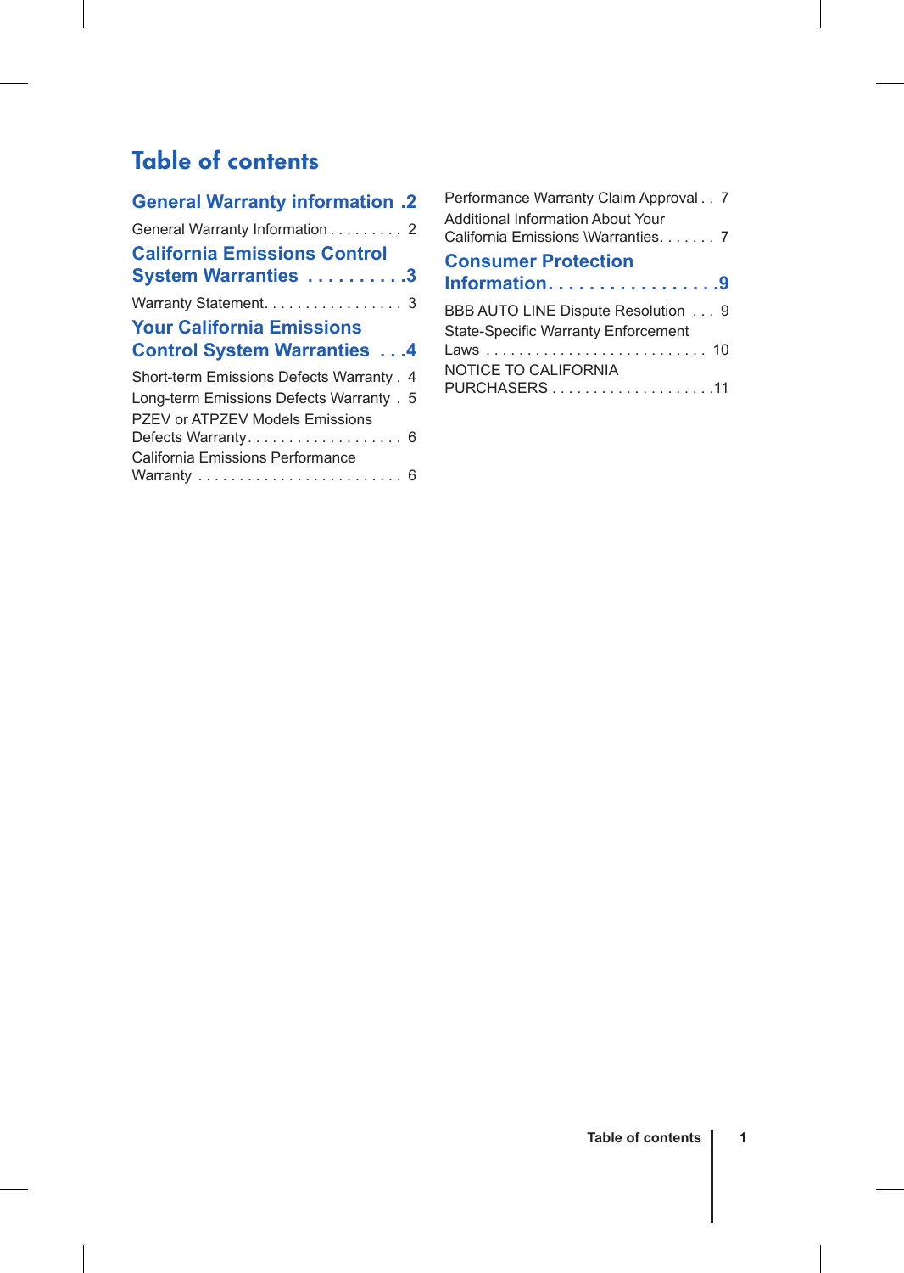# Table of contents

| <b>General Warranty information .2</b>    |
|-------------------------------------------|
| General Warranty Information 2            |
| <b>California Emissions Control</b>       |
| System Warranties 3                       |
| Warranty Statement. 3                     |
| <b>Your California Emissions</b>          |
|                                           |
| <b>Control System Warranties 4</b>        |
| Short-term Emissions Defects Warranty . 4 |
| Long-term Emissions Defects Warranty . 5  |
| PZEV or ATPZEV Models Emissions           |
| Defects Warranty 6                        |
| California Emissions Performance          |

| Performance Warranty Claim Approval 7<br><b>Additional Information About Your</b><br>California Emissions \Warranties 7 |  |
|-------------------------------------------------------------------------------------------------------------------------|--|
| <b>Consumer Protection</b>                                                                                              |  |
| Information. 9                                                                                                          |  |
| BBB AUTO LINE Dispute Resolution 9<br><b>State-Specific Warranty Enforcement</b>                                        |  |
| <b>NOTICE TO CALIFORNIA</b>                                                                                             |  |
|                                                                                                                         |  |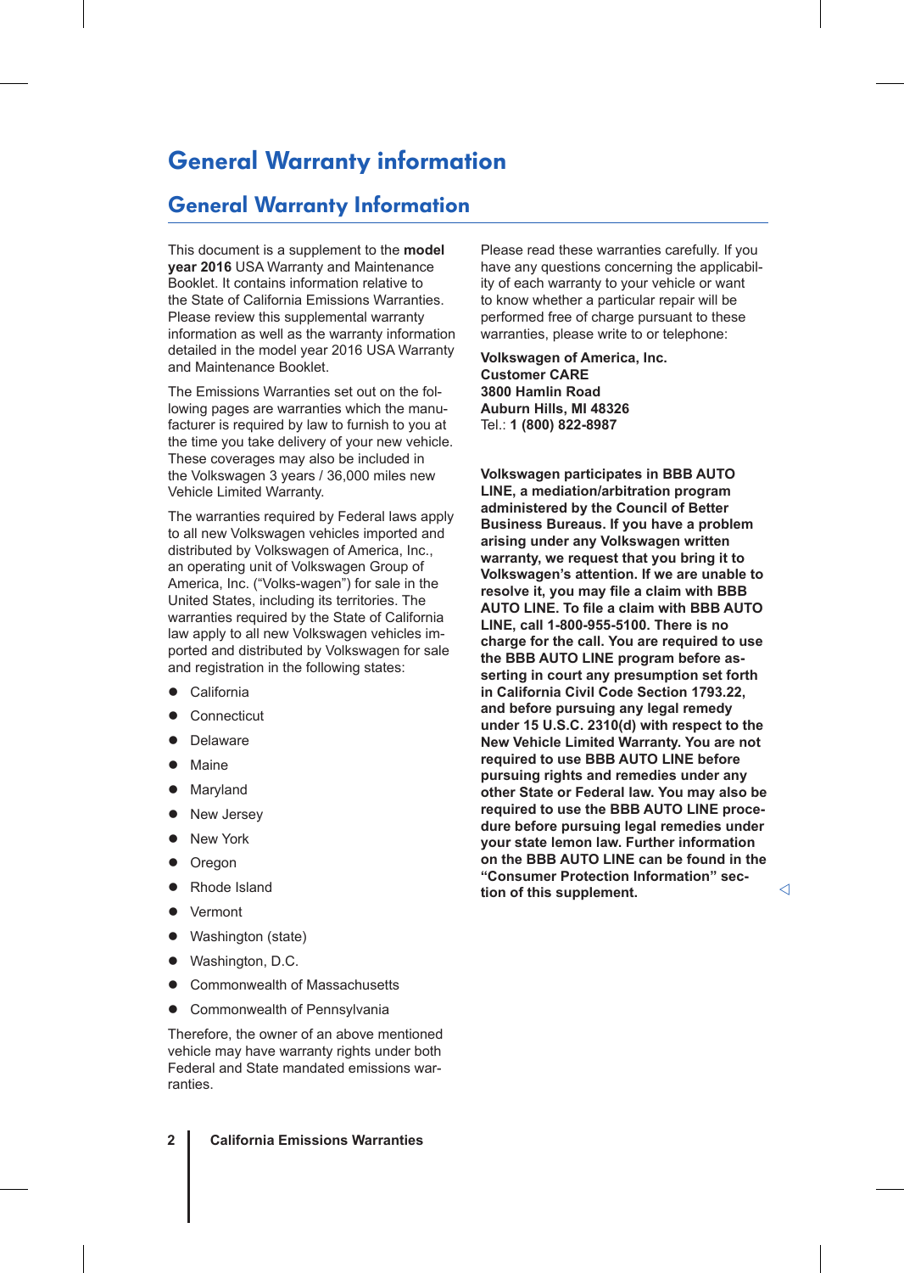# General Warranty information

### General Warranty Information

This document is a supplement to the **model year 2016** USA Warranty and Maintenance Booklet. It contains information relative to the State of California Emissions Warranties. Please review this supplemental warranty information as well as the warranty information detailed in the model year 2016 USA Warranty and Maintenance Booklet.

The Emissions Warranties set out on the following pages are warranties which the manufacturer is required by law to furnish to you at the time you take delivery of your new vehicle. These coverages may also be included in the Volkswagen 3 years / 36,000 miles new Vehicle Limited Warranty.

The warranties required by Federal laws apply to all new Volkswagen vehicles imported and distributed by Volkswagen of America, Inc., an operating unit of Volkswagen Group of America, Inc. ("Volks-wagen") for sale in the United States, including its territories. The warranties required by the State of California law apply to all new Volkswagen vehicles imported and distributed by Volkswagen for sale and registration in the following states:

- California
- Connecticut
- Delaware
- Maine
- Maryland
- New Jersey
- New York
- Oregon
- Rhode Island
- Vermont
- Washington (state)
- Washington, D.C.
- Commonwealth of Massachusetts
- Commonwealth of Pennsylvania

Therefore, the owner of an above mentioned vehicle may have warranty rights under both Federal and State mandated emissions warranties.

**2 California Emissions Warranties**

Please read these warranties carefully. If you have any questions concerning the applicability of each warranty to your vehicle or want to know whether a particular repair will be performed free of charge pursuant to these warranties, please write to or telephone:

**Volkswagen of America, Inc. Customer CARE 3800 Hamlin Road Auburn Hills, MI 48326** Tel.: **1 (800) 822-8987**

**Volkswagen participates in BBB AUTO LINE, a mediation/arbitration program administered by the Council of Better Business Bureaus. If you have a problem arising under any Volkswagen written warranty, we request that you bring it to Volkswagen's attention. If we are unable to resolve it, you may file a claim with BBB AUTO LINE. To file a claim with BBB AUTO LINE, call 1-800-955-5100. There is no charge for the call. You are required to use the BBB AUTO LINE program before asserting in court any presumption set forth in California Civil Code Section 1793.22, and before pursuing any legal remedy under 15 U.S.C. 2310(d) with respect to the New Vehicle Limited Warranty. You are not required to use BBB AUTO LINE before pursuing rights and remedies under any other State or Federal law. You may also be required to use the BBB AUTO LINE procedure before pursuing legal remedies under your state lemon law. Further information on the BBB AUTO LINE can be found in the "Consumer Protection Information" section of this supplement.**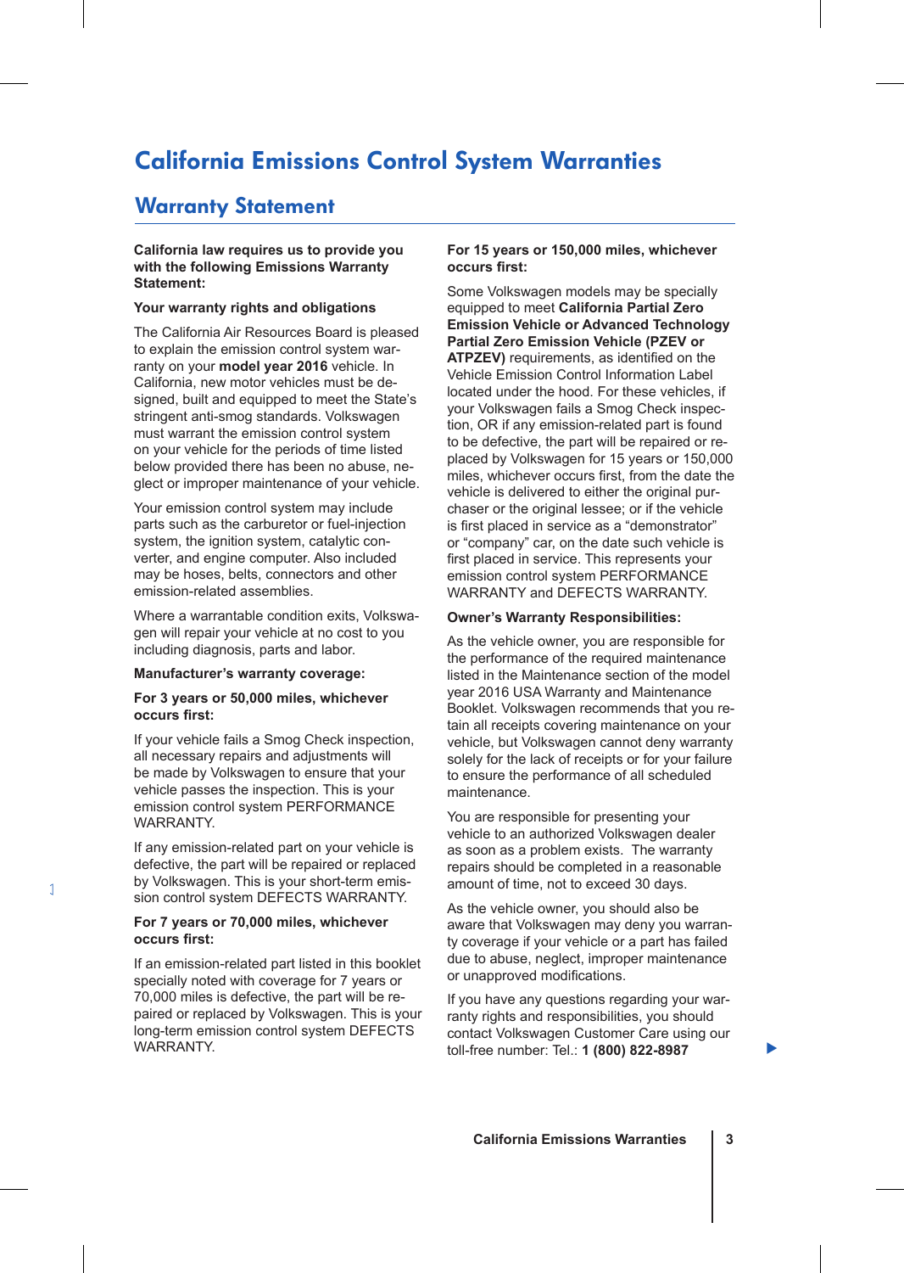# California Emissions Control System Warranties

### Warranty Statement

#### **California law requires us to provide you with the following Emissions Warranty Statement:**

### **Your warranty rights and obligations**

The California Air Resources Board is pleased to explain the emission control system warranty on your **model year 2016** vehicle. In California, new motor vehicles must be designed, built and equipped to meet the State's stringent anti-smog standards. Volkswagen must warrant the emission control system on your vehicle for the periods of time listed below provided there has been no abuse, neglect or improper maintenance of your vehicle.

Your emission control system may include parts such as the carburetor or fuel-injection system, the ignition system, catalytic converter, and engine computer. Also included may be hoses, belts, connectors and other emission-related assemblies.

Where a warrantable condition exits, Volkswagen will repair your vehicle at no cost to you including diagnosis, parts and labor.

### **Manufacturer's warranty coverage:**

#### **For 3 years or 50,000 miles, whichever occurs first:**

If your vehicle fails a Smog Check inspection, all necessary repairs and adjustments will be made by Volkswagen to ensure that your vehicle passes the inspection. This is your emission control system PERFORMANCE WARRANTY.

If any emission-related part on your vehicle is defective, the part will be repaired or replaced by Volkswagen. This is your short-term emission control system DEFECTS WARRANTY.

#### **For 7 years or 70,000 miles, whichever occurs first:**

If an emission-related part listed in this booklet specially noted with coverage for 7 years or 70,000 miles is defective, the part will be repaired or replaced by Volkswagen. This is your long-term emission control system DEFECTS WARRANTY.

### **For 15 years or 150,000 miles, whichever occurs first:**

Some Volkswagen models may be specially equipped to meet **California Partial Zero Emission Vehicle or Advanced Technology Partial Zero Emission Vehicle (PZEV or ATPZEV)** requirements, as identified on the Vehicle Emission Control Information Label located under the hood. For these vehicles, if your Volkswagen fails a Smog Check inspection, OR if any emission-related part is found to be defective, the part will be repaired or replaced by Volkswagen for 15 years or 150,000 miles, whichever occurs first, from the date the vehicle is delivered to either the original purchaser or the original lessee; or if the vehicle is first placed in service as a "demonstrator" or "company" car, on the date such vehicle is first placed in service. This represents your emission control system PERFORMANCE WARRANTY and DEFECTS WARRANTY.

#### **Owner's Warranty Responsibilities:**

As the vehicle owner, you are responsible for the performance of the required maintenance listed in the Maintenance section of the model year 2016 USA Warranty and Maintenance Booklet. Volkswagen recommends that you retain all receipts covering maintenance on your vehicle, but Volkswagen cannot deny warranty solely for the lack of receipts or for your failure to ensure the performance of all scheduled maintenance.

You are responsible for presenting your vehicle to an authorized Volkswagen dealer as soon as a problem exists. The warranty repairs should be completed in a reasonable amount of time, not to exceed 30 days.

As the vehicle owner, you should also be aware that Volkswagen may deny you warranty coverage if your vehicle or a part has failed due to abuse, neglect, improper maintenance or unapproved modifications.

If you have any questions regarding your warranty rights and responsibilities, you should contact Volkswagen Customer Care using our toll-free number: Tel.: **1 (800) 822-8987**

▶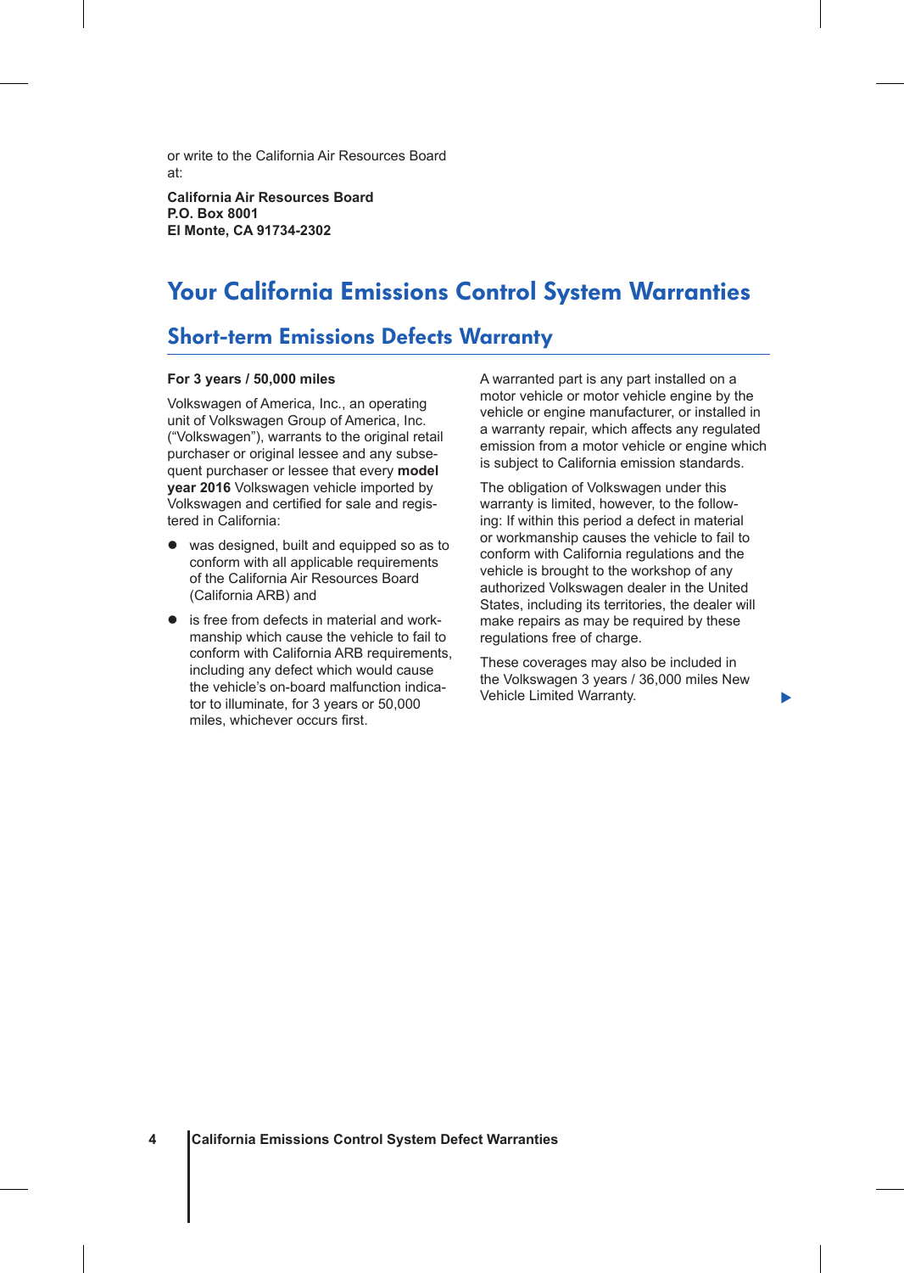or write to the California Air Resources Board at:

**California Air Resources Board P.O. Box 8001 El Monte, CA 91734-2302**

# Your California Emissions Control System Warranties

### Short-term Emissions Defects Warranty

#### **For 3 years / 50,000 miles**

Volkswagen of America, Inc., an operating unit of Volkswagen Group of America, Inc. ("Volkswagen"), warrants to the original retail purchaser or original lessee and any subsequent purchaser or lessee that every **model year 2016** Volkswagen vehicle imported by Volkswagen and certified for sale and registered in California:

- was designed, built and equipped so as to conform with all applicable requirements of the California Air Resources Board (California ARB) and
- is free from defects in material and workmanship which cause the vehicle to fail to conform with California ARB requirements, including any defect which would cause the vehicle's on-board malfunction indicator to illuminate, for 3 years or 50,000 miles, whichever occurs first.

A warranted part is any part installed on a motor vehicle or motor vehicle engine by the vehicle or engine manufacturer, or installed in a warranty repair, which affects any regulated emission from a motor vehicle or engine which is subject to California emission standards.

The obligation of Volkswagen under this warranty is limited, however, to the following: If within this period a defect in material or workmanship causes the vehicle to fail to conform with California regulations and the vehicle is brought to the workshop of any authorized Volkswagen dealer in the United States, including its territories, the dealer will make repairs as may be required by these regulations free of charge.

These coverages may also be included in the Volkswagen 3 years / 36,000 miles New Vehicle Limited Warranty.

Þ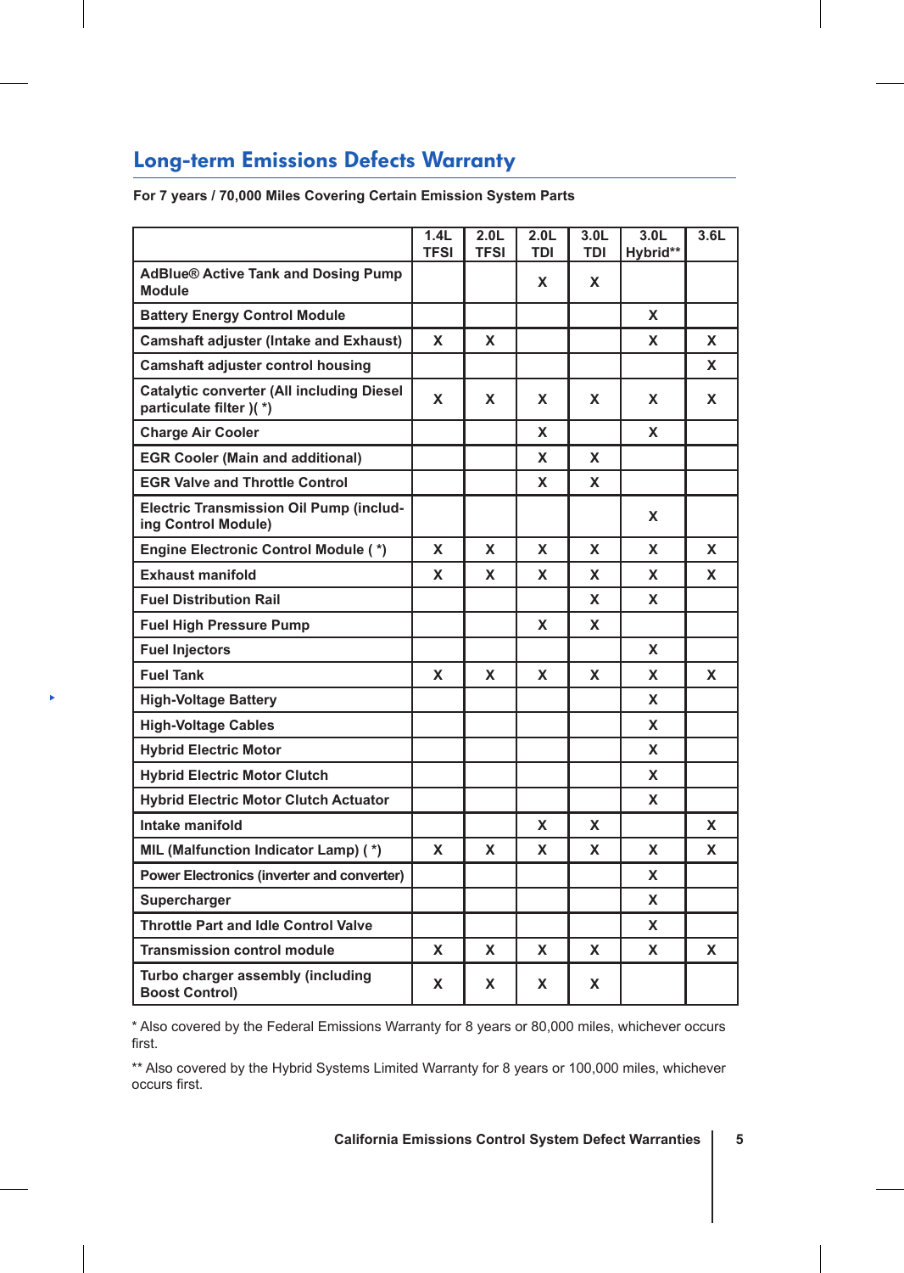# Long-term Emissions Defects Warranty

 $\blacktriangleright$ 

**For 7 years / 70,000 Miles Covering Certain Emission System Parts**

|                                                                             | 1.4L<br><b>TFSI</b> | 2.0 <sub>L</sub><br><b>TFSI</b> | 2.0 <sub>L</sub><br><b>TDI</b> | 3.0 <sub>L</sub><br>TDI | 3.0 <sub>L</sub><br>Hybrid** | 3.6L |
|-----------------------------------------------------------------------------|---------------------|---------------------------------|--------------------------------|-------------------------|------------------------------|------|
| <b>AdBlue® Active Tank and Dosing Pump</b><br><b>Module</b>                 |                     |                                 | X                              | X                       |                              |      |
| <b>Battery Energy Control Module</b>                                        |                     |                                 |                                |                         | X                            |      |
| <b>Camshaft adjuster (Intake and Exhaust)</b>                               | X                   | x                               |                                |                         | x                            | X    |
| <b>Camshaft adjuster control housing</b>                                    |                     |                                 |                                |                         |                              | x    |
| <b>Catalytic converter (All including Diesel</b><br>particulate filter )(*) | X                   | x                               | X                              | X                       | X                            | x    |
| <b>Charge Air Cooler</b>                                                    |                     |                                 | x                              |                         | x                            |      |
| <b>EGR Cooler (Main and additional)</b>                                     |                     |                                 | X                              | X                       |                              |      |
| <b>EGR Valve and Throttle Control</b>                                       |                     |                                 | x                              | X                       |                              |      |
| <b>Electric Transmission Oil Pump (includ-</b><br>ing Control Module)       |                     |                                 |                                |                         | X                            |      |
| <b>Engine Electronic Control Module (*)</b>                                 | X                   | x                               | X                              | X                       | X                            | x    |
| <b>Exhaust manifold</b>                                                     | X                   | x                               | x                              | x                       | x                            | X    |
| <b>Fuel Distribution Rail</b>                                               |                     |                                 |                                | x                       | X                            |      |
| <b>Fuel High Pressure Pump</b>                                              |                     |                                 | X                              | X                       |                              |      |
| <b>Fuel Injectors</b>                                                       |                     |                                 |                                |                         | X                            |      |
| <b>Fuel Tank</b>                                                            | X                   | x                               | X                              | x                       | x                            | x    |
| <b>High-Voltage Battery</b>                                                 |                     |                                 |                                |                         | x                            |      |
| <b>High-Voltage Cables</b>                                                  |                     |                                 |                                |                         | X                            |      |
| <b>Hybrid Electric Motor</b>                                                |                     |                                 |                                |                         | x                            |      |
| <b>Hybrid Electric Motor Clutch</b>                                         |                     |                                 |                                |                         | X                            |      |
| <b>Hybrid Electric Motor Clutch Actuator</b>                                |                     |                                 |                                |                         | X                            |      |
| Intake manifold                                                             |                     |                                 | X                              | x                       |                              | x    |
| MIL (Malfunction Indicator Lamp) (*)                                        | X                   | x                               | x                              | x                       | x                            | x    |
| Power Electronics (inverter and converter)                                  |                     |                                 |                                |                         | x                            |      |
| Supercharger                                                                |                     |                                 |                                |                         | x                            |      |
| <b>Throttle Part and Idle Control Valve</b>                                 |                     |                                 |                                |                         | X                            |      |
| <b>Transmission control module</b>                                          | X                   | x                               | X                              | x                       | x                            | x    |
| Turbo charger assembly (including<br><b>Boost Control)</b>                  | X                   | x                               | X                              | x                       |                              |      |

\* Also covered by the Federal Emissions Warranty for 8 years or 80,000 miles, whichever occurs first.

\*\* Also covered by the Hybrid Systems Limited Warranty for 8 years or 100,000 miles, whichever occurs first.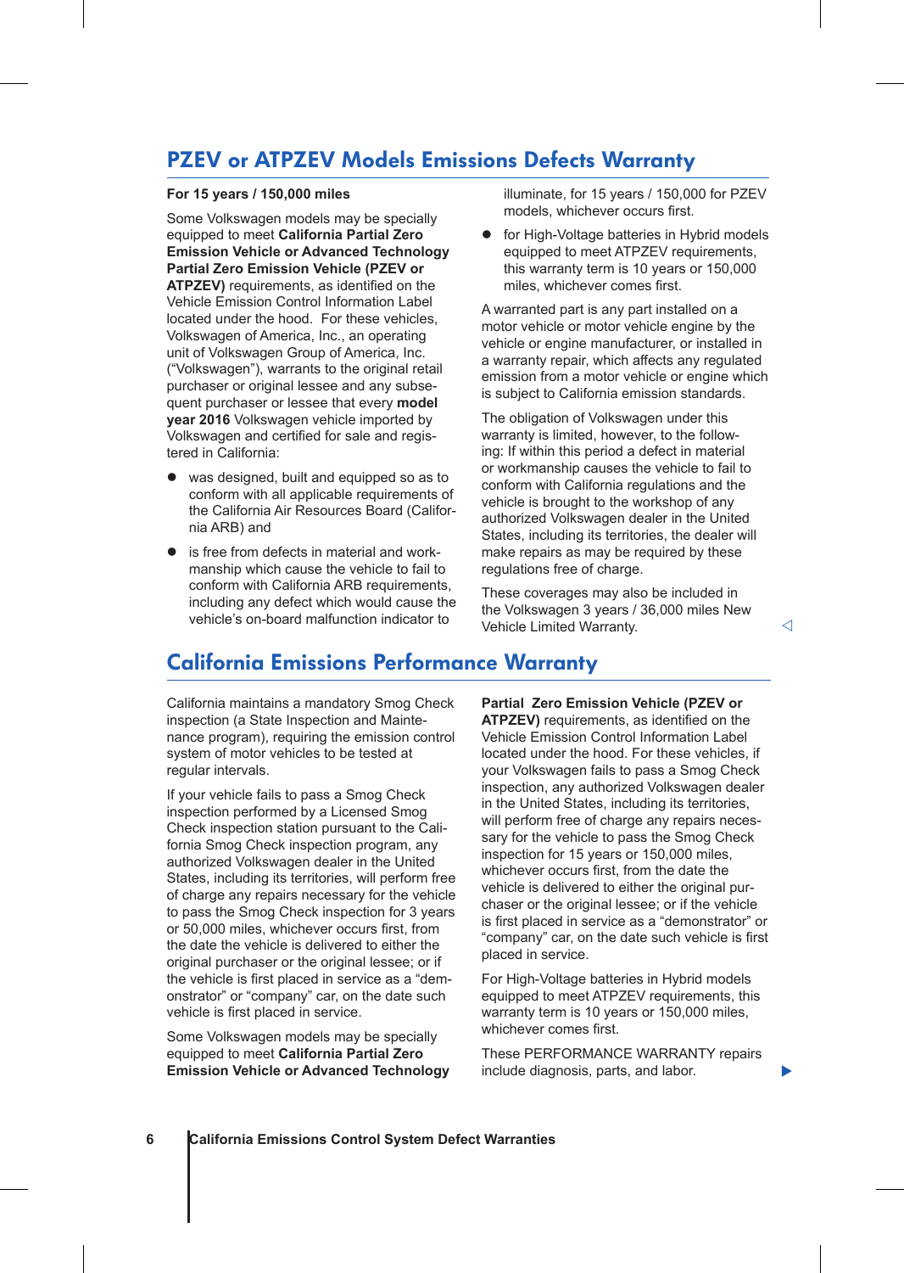### PZEV or ATPZEV Models Emissions Defects Warranty

### **For 15 years / 150,000 miles**

Some Volkswagen models may be specially equipped to meet **California Partial Zero Emission Vehicle or Advanced Technology Partial Zero Emission Vehicle (PZEV or ATPZEV)** requirements, as identified on the Vehicle Emission Control Information Label located under the hood. For these vehicles, Volkswagen of America, Inc., an operating unit of Volkswagen Group of America, Inc. ("Volkswagen"), warrants to the original retail purchaser or original lessee and any subsequent purchaser or lessee that every **model year 2016** Volkswagen vehicle imported by Volkswagen and certified for sale and registered in California:

- was designed, built and equipped so as to conform with all applicable requirements of the California Air Resources Board (California ARB) and
- is free from defects in material and workmanship which cause the vehicle to fail to conform with California ARB requirements, including any defect which would cause the vehicle's on-board malfunction indicator to

illuminate, for 15 years / 150,000 for PZEV models, whichever occurs first.

for High-Voltage batteries in Hybrid models equipped to meet ATPZEV requirements, this warranty term is 10 years or 150,000 miles, whichever comes first.

A warranted part is any part installed on a motor vehicle or motor vehicle engine by the vehicle or engine manufacturer, or installed in a warranty repair, which affects any regulated emission from a motor vehicle or engine which is subject to California emission standards.

The obligation of Volkswagen under this warranty is limited, however, to the following: If within this period a defect in material or workmanship causes the vehicle to fail to conform with California regulations and the vehicle is brought to the workshop of any authorized Volkswagen dealer in the United States, including its territories, the dealer will make repairs as may be required by these regulations free of charge.

These coverages may also be included in the Volkswagen 3 years / 36,000 miles New Vehicle Limited Warranty.

# California Emissions Performance Warranty

California maintains a mandatory Smog Check inspection (a State Inspection and Maintenance program), requiring the emission control system of motor vehicles to be tested at regular intervals.

If your vehicle fails to pass a Smog Check inspection performed by a Licensed Smog Check inspection station pursuant to the California Smog Check inspection program, any authorized Volkswagen dealer in the United States, including its territories, will perform free of charge any repairs necessary for the vehicle to pass the Smog Check inspection for 3 years or 50,000 miles, whichever occurs first, from the date the vehicle is delivered to either the original purchaser or the original lessee; or if the vehicle is first placed in service as a "demonstrator" or "company" car, on the date such vehicle is first placed in service.

Some Volkswagen models may be specially equipped to meet **California Partial Zero Emission Vehicle or Advanced Technology**  **Partial Zero Emission Vehicle (PZEV or ATPZEV)** requirements, as identified on the Vehicle Emission Control Information Label located under the hood. For these vehicles, if your Volkswagen fails to pass a Smog Check inspection, any authorized Volkswagen dealer in the United States, including its territories, will perform free of charge any repairs necessary for the vehicle to pass the Smog Check inspection for 15 years or 150,000 miles, whichever occurs first, from the date the vehicle is delivered to either the original purchaser or the original lessee; or if the vehicle is first placed in service as a "demonstrator" or "company" car, on the date such vehicle is first placed in service.

For High-Voltage batteries in Hybrid models equipped to meet ATPZEV requirements, this warranty term is 10 years or 150,000 miles, whichever comes first.

These PERFORMANCE WARRANTY repairs include diagnosis, parts, and labor.

Þ

⊲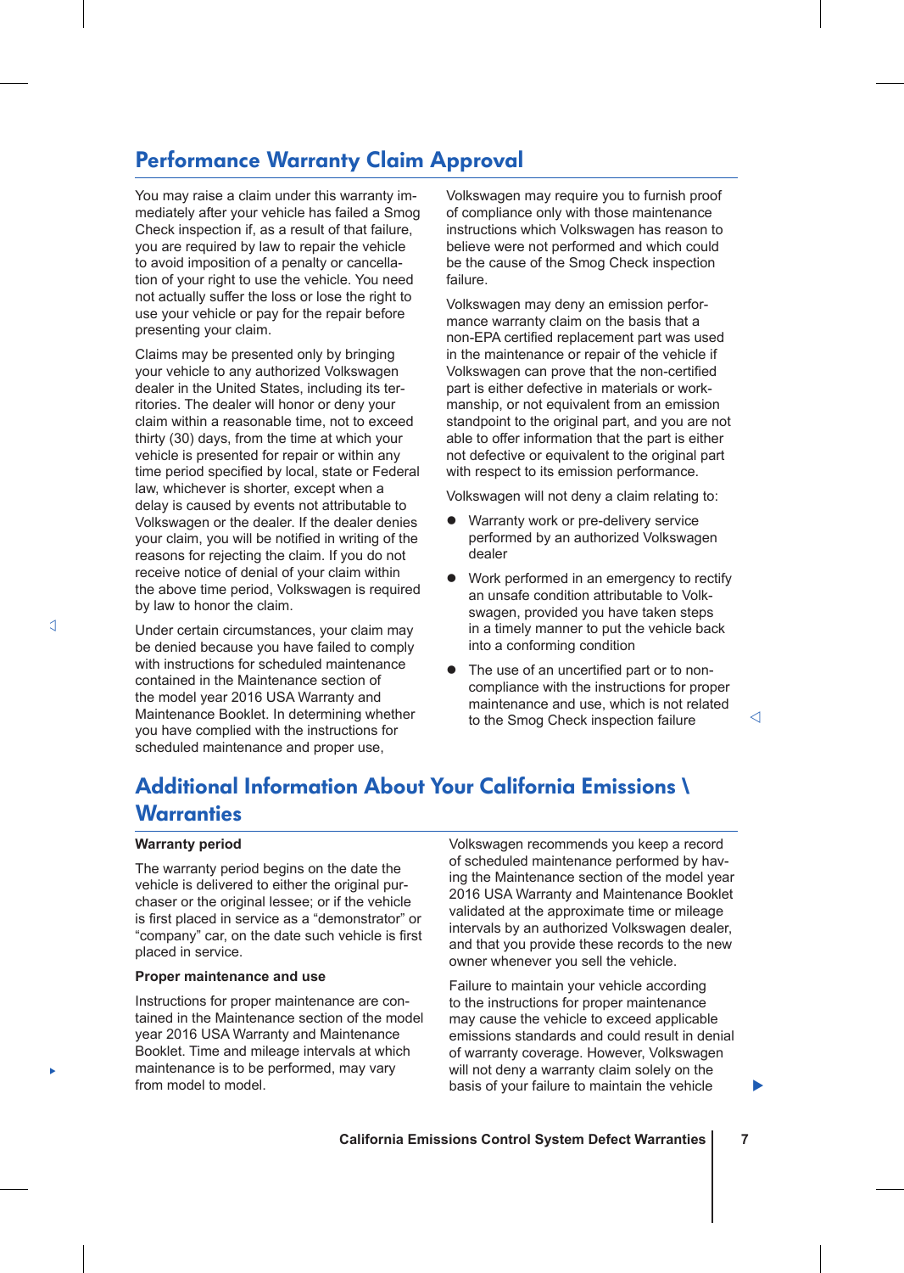### Performance Warranty Claim Approval

You may raise a claim under this warranty immediately after your vehicle has failed a Smog Check inspection if, as a result of that failure, you are required by law to repair the vehicle to avoid imposition of a penalty or cancellation of your right to use the vehicle. You need not actually suffer the loss or lose the right to use your vehicle or pay for the repair before presenting your claim.

Claims may be presented only by bringing your vehicle to any authorized Volkswagen dealer in the United States, including its territories. The dealer will honor or deny your claim within a reasonable time, not to exceed thirty (30) days, from the time at which your vehicle is presented for repair or within any time period specified by local, state or Federal law, whichever is shorter, except when a delay is caused by events not attributable to Volkswagen or the dealer. If the dealer denies your claim, you will be notified in writing of the reasons for rejecting the claim. If you do not receive notice of denial of your claim within the above time period, Volkswagen is required by law to honor the claim.

Under certain circumstances, your claim may be denied because you have failed to comply with instructions for scheduled maintenance contained in the Maintenance section of the model year 2016 USA Warranty and Maintenance Booklet. In determining whether you have complied with the instructions for scheduled maintenance and proper use,

Volkswagen may require you to furnish proof of compliance only with those maintenance instructions which Volkswagen has reason to believe were not performed and which could be the cause of the Smog Check inspection failure.

Volkswagen may deny an emission performance warranty claim on the basis that a non-EPA certified replacement part was used in the maintenance or repair of the vehicle if Volkswagen can prove that the non-certified part is either defective in materials or workmanship, or not equivalent from an emission standpoint to the original part, and you are not able to offer information that the part is either not defective or equivalent to the original part with respect to its emission performance.

Volkswagen will not deny a claim relating to:

- Warranty work or pre-delivery service performed by an authorized Volkswagen dealer
- Work performed in an emergency to rectify an unsafe condition attributable to Volkswagen, provided you have taken steps in a timely manner to put the vehicle back into a conforming condition
- The use of an uncertified part or to noncompliance with the instructions for proper maintenance and use, which is not related to the Smog Check inspection failure

⊲

### Additional Information About Your California Emissions \ **Warranties**

#### **Warranty period**

The warranty period begins on the date the vehicle is delivered to either the original purchaser or the original lessee; or if the vehicle is first placed in service as a "demonstrator" or "company" car, on the date such vehicle is first placed in service.

#### **Proper maintenance and use**

Instructions for proper maintenance are contained in the Maintenance section of the model year 2016 USA Warranty and Maintenance Booklet. Time and mileage intervals at which maintenance is to be performed, may vary from model to model.

Volkswagen recommends you keep a record of scheduled maintenance performed by having the Maintenance section of the model year 2016 USA Warranty and Maintenance Booklet validated at the approximate time or mileage intervals by an authorized Volkswagen dealer, and that you provide these records to the new owner whenever you sell the vehicle.

Failure to maintain your vehicle according to the instructions for proper maintenance may cause the vehicle to exceed applicable emissions standards and could result in denial of warranty coverage. However, Volkswagen will not deny a warranty claim solely on the basis of your failure to maintain the vehicle

×

Þ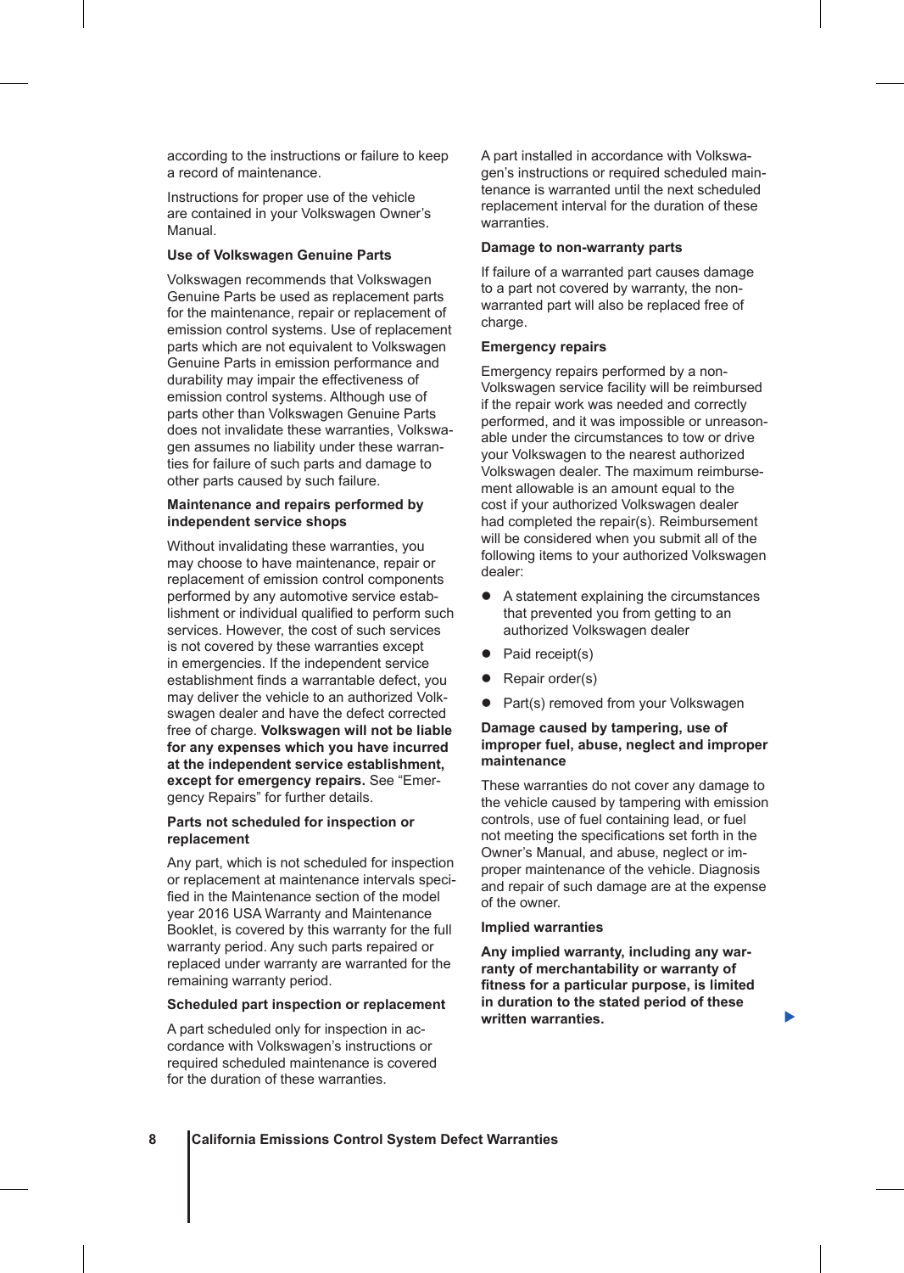according to the instructions or failure to keep a record of maintenance.

Instructions for proper use of the vehicle are contained in your Volkswagen Owner's Manual.

### **Use of Volkswagen Genuine Parts**

Volkswagen recommends that Volkswagen Genuine Parts be used as replacement parts for the maintenance, repair or replacement of emission control systems. Use of replacement parts which are not equivalent to Volkswagen Genuine Parts in emission performance and durability may impair the effectiveness of emission control systems. Although use of parts other than Volkswagen Genuine Parts does not invalidate these warranties, Volkswagen assumes no liability under these warranties for failure of such parts and damage to other parts caused by such failure.

#### **Maintenance and repairs performed by independent service shops**

Without invalidating these warranties, you may choose to have maintenance, repair or replacement of emission control components performed by any automotive service establishment or individual qualified to perform such services. However, the cost of such services is not covered by these warranties except in emergencies. If the independent service establishment finds a warrantable defect, you may deliver the vehicle to an authorized Volkswagen dealer and have the defect corrected free of charge. **Volkswagen will not be liable for any expenses which you have incurred at the independent service establishment, except for emergency repairs.** See "Emergency Repairs" for further details.

### **Parts not scheduled for inspection or replacement**

Any part, which is not scheduled for inspection or replacement at maintenance intervals specified in the Maintenance section of the model year 2016 USA Warranty and Maintenance Booklet, is covered by this warranty for the full warranty period. Any such parts repaired or replaced under warranty are warranted for the remaining warranty period.

### **Scheduled part inspection or replacement**

A part scheduled only for inspection in accordance with Volkswagen's instructions or required scheduled maintenance is covered for the duration of these warranties.

A part installed in accordance with Volkswagen's instructions or required scheduled maintenance is warranted until the next scheduled replacement interval for the duration of these warranties.

#### **Damage to non-warranty parts**

If failure of a warranted part causes damage to a part not covered by warranty, the nonwarranted part will also be replaced free of charge.

### **Emergency repairs**

Emergency repairs performed by a non-Volkswagen service facility will be reimbursed if the repair work was needed and correctly performed, and it was impossible or unreasonable under the circumstances to tow or drive your Volkswagen to the nearest authorized Volkswagen dealer. The maximum reimbursement allowable is an amount equal to the cost if your authorized Volkswagen dealer had completed the repair(s). Reimbursement will be considered when you submit all of the following items to your authorized Volkswagen dealer:

- A statement explaining the circumstances that prevented you from getting to an authorized Volkswagen dealer
- $\bullet$  Paid receipt(s)
- Repair order(s)
- Part(s) removed from your Volkswagen

### **Damage caused by tampering, use of improper fuel, abuse, neglect and improper maintenance**

These warranties do not cover any damage to the vehicle caused by tampering with emission controls, use of fuel containing lead, or fuel not meeting the specifications set forth in the Owner's Manual, and abuse, neglect or improper maintenance of the vehicle. Diagnosis and repair of such damage are at the expense of the owner.

#### **Implied warranties**

**Any implied warranty, including any warranty of merchantability or warranty of fitness for a particular purpose, is limited in duration to the stated period of these written warranties.**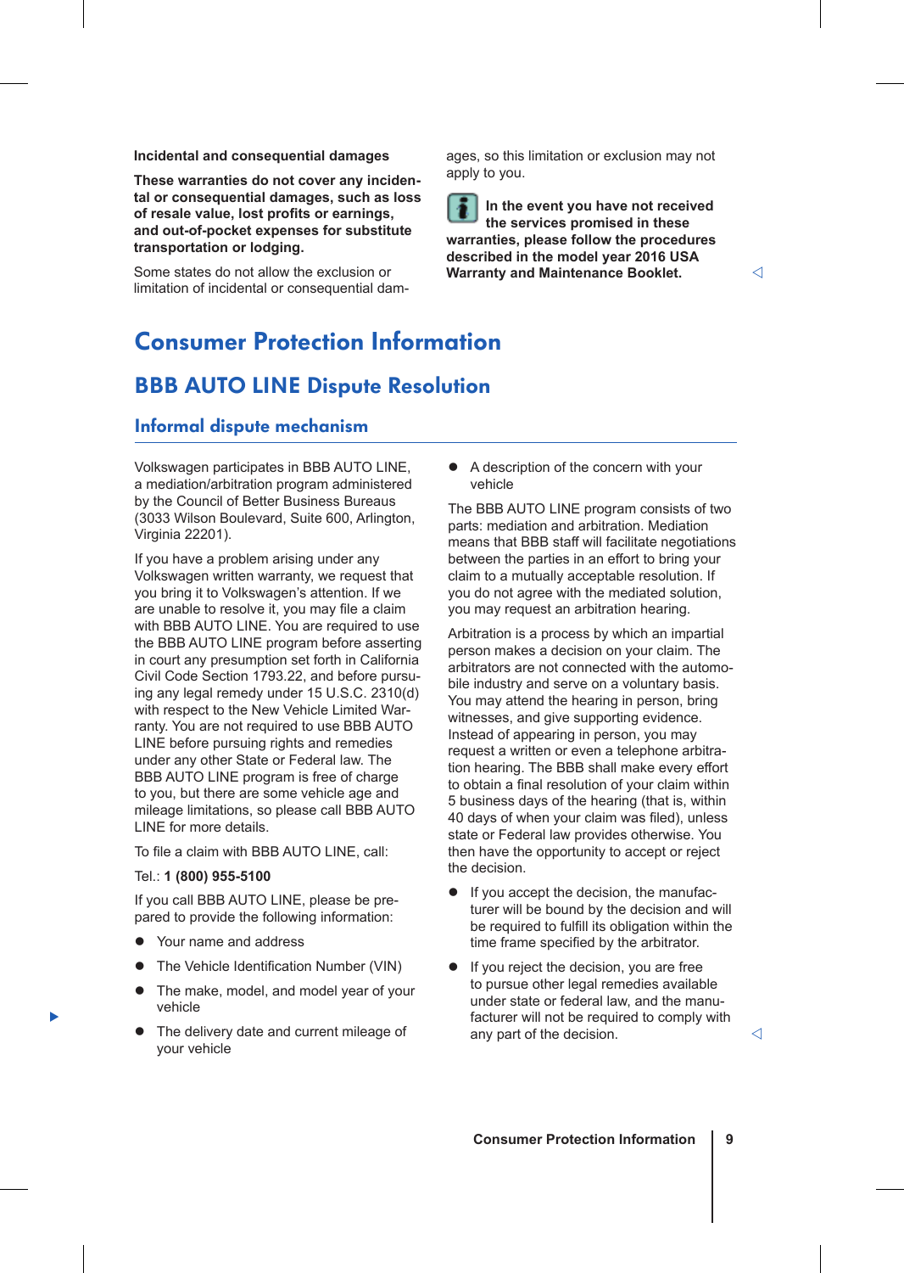**Incidental and consequential damages**

**These warranties do not cover any incidental or consequential damages, such as loss of resale value, lost profits or earnings, and out-of-pocket expenses for substitute transportation or lodging.**

Some states do not allow the exclusion or limitation of incidental or consequential damages, so this limitation or exclusion may not apply to you.

**In the event you have not received the services promised in these warranties, please follow the procedures described in the model year 2016 USA Warranty and Maintenance Booklet.**

# Consumer Protection Information

### BBB AUTO LINE Dispute Resolution

### Informal dispute mechanism

Volkswagen participates in BBB AUTO LINE, a mediation/arbitration program administered by the Council of Better Business Bureaus (3033 Wilson Boulevard, Suite 600, Arlington, Virginia 22201).

If you have a problem arising under any Volkswagen written warranty, we request that you bring it to Volkswagen's attention. If we are unable to resolve it, you may file a claim with BBB AUTO LINE. You are required to use the BBB AUTO LINE program before asserting in court any presumption set forth in California Civil Code Section 1793.22, and before pursuing any legal remedy under 15 U.S.C. 2310(d) with respect to the New Vehicle Limited Warranty. You are not required to use BBB AUTO LINE before pursuing rights and remedies under any other State or Federal law. The BBB AUTO LINE program is free of charge to you, but there are some vehicle age and mileage limitations, so please call BBB AUTO LINE for more details.

To file a claim with BBB AUTO LINE, call:

### Tel.: **1 (800) 955-5100**

Þ

If you call BBB AUTO LINE, please be prepared to provide the following information:

- Your name and address
- The Vehicle Identification Number (VIN)
- The make, model, and model year of your vehicle
- The delivery date and current mileage of your vehicle

 $\bullet$  A description of the concern with your vehicle

The BBB AUTO LINE program consists of two parts: mediation and arbitration. Mediation means that BBB staff will facilitate negotiations between the parties in an effort to bring your claim to a mutually acceptable resolution. If you do not agree with the mediated solution, you may request an arbitration hearing.

Arbitration is a process by which an impartial person makes a decision on your claim. The arbitrators are not connected with the automobile industry and serve on a voluntary basis. You may attend the hearing in person, bring witnesses, and give supporting evidence. Instead of appearing in person, you may request a written or even a telephone arbitration hearing. The BBB shall make every effort to obtain a final resolution of your claim within 5 business days of the hearing (that is, within 40 days of when your claim was filed), unless state or Federal law provides otherwise. You then have the opportunity to accept or reject the decision.

- $\bullet$  If you accept the decision, the manufacturer will be bound by the decision and will be required to fulfill its obligation within the time frame specified by the arbitrator.
- If you reject the decision, you are free to pursue other legal remedies available under state or federal law, and the manufacturer will not be required to comply with any part of the decision.  $\langle \rangle$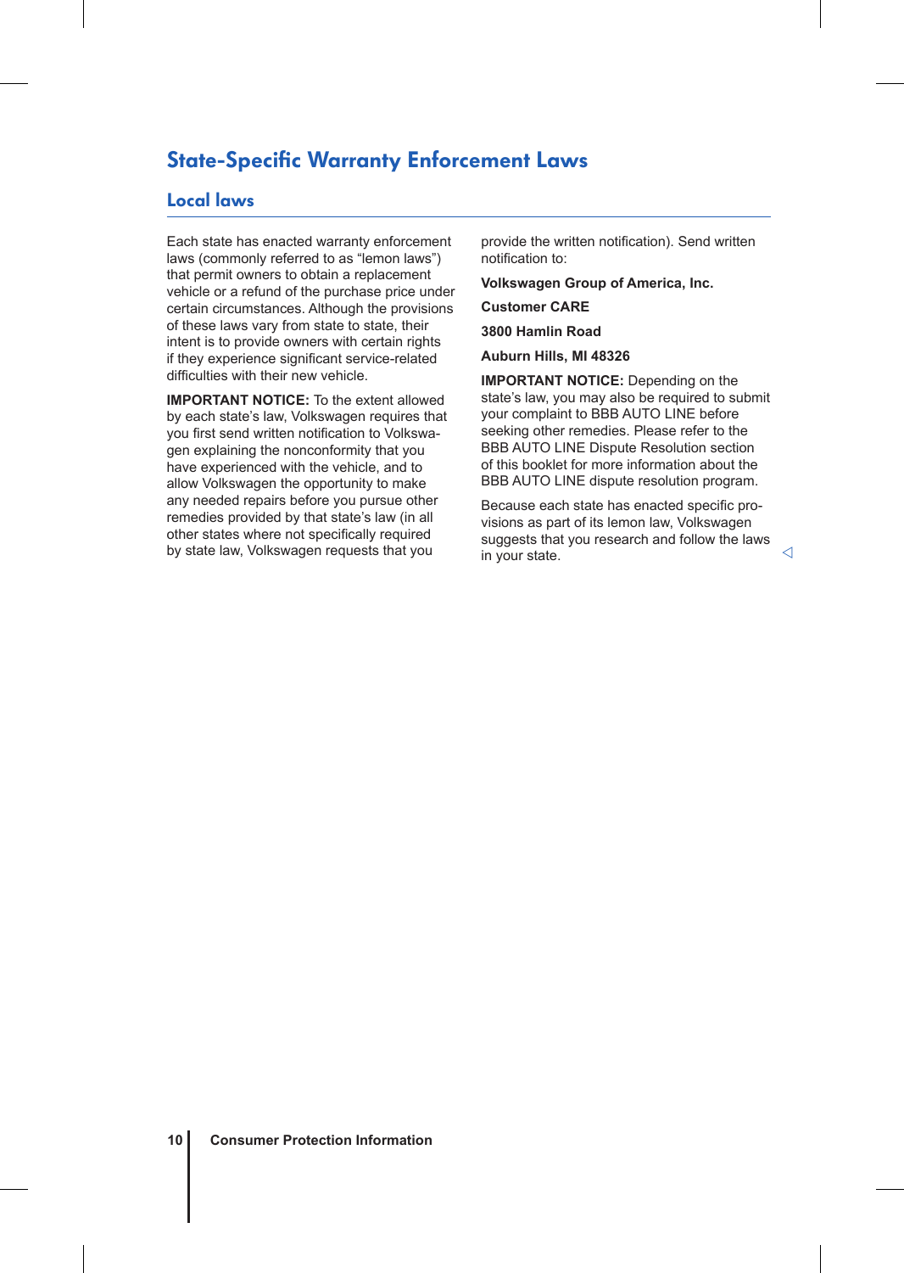### State-Specific Warranty Enforcement Laws

### Local laws

Each state has enacted warranty enforcement laws (commonly referred to as "lemon laws") that permit owners to obtain a replacement vehicle or a refund of the purchase price under certain circumstances. Although the provisions of these laws vary from state to state, their intent is to provide owners with certain rights if they experience significant service-related difficulties with their new vehicle.

**IMPORTANT NOTICE:** To the extent allowed by each state's law, Volkswagen requires that you first send written notification to Volkswagen explaining the nonconformity that you have experienced with the vehicle, and to allow Volkswagen the opportunity to make any needed repairs before you pursue other remedies provided by that state's law (in all other states where not specifically required by state law, Volkswagen requests that you

provide the written notification). Send written notification to:

**Volkswagen Group of America, Inc.**

**Customer CARE**

**3800 Hamlin Road**

**Auburn Hills, MI 48326**

**IMPORTANT NOTICE:** Depending on the state's law, you may also be required to submit your complaint to BBB AUTO LINE before seeking other remedies. Please refer to the BBB AUTO LINE Dispute Resolution section of this booklet for more information about the BBB AUTO LINE dispute resolution program.

Because each state has enacted specific provisions as part of its lemon law, Volkswagen suggests that you research and follow the laws  $\frac{1}{2}$  in your state.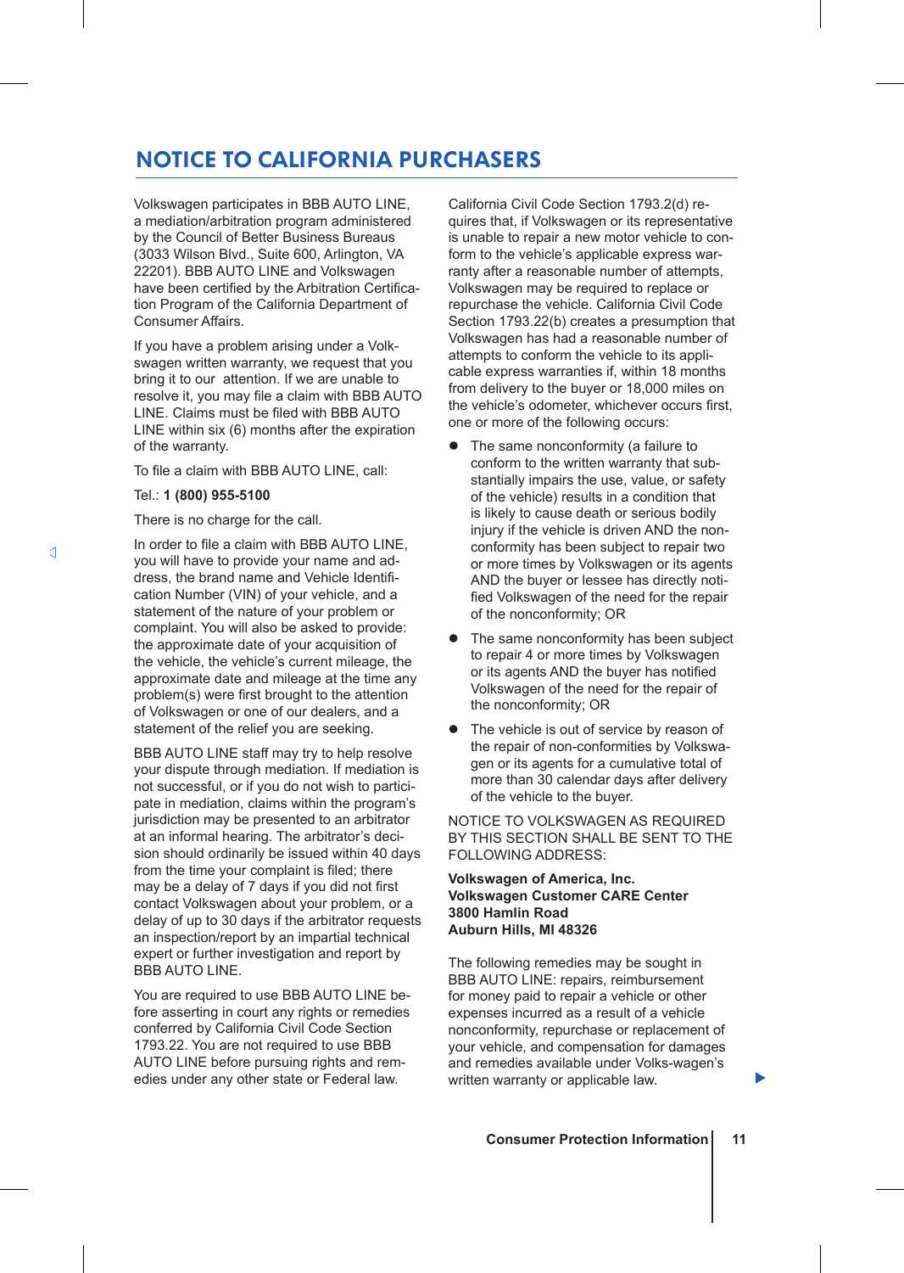### NOTICE TO CALIFORNIA PURCHASERS

Volkswagen participates in BBB AUTO LINE, a mediation/arbitration program administered by the Council of Better Business Bureaus (3033 Wilson Blvd., Suite 600, Arlington, VA 22201). BBB AUTO LINE and Volkswagen have been certified by the Arbitration Certification Program of the California Department of Consumer Affairs.

If you have a problem arising under a Volkswagen written warranty, we request that you bring it to our attention. If we are unable to resolve it, you may file a claim with BBB AUTO LINE. Claims must be filed with BBB AUTO LINE within six (6) months after the expiration of the warranty.

To file a claim with BBB AUTO LINE, call:

### Tel.: **1 (800) 955-5100**

There is no charge for the call.

In order to file a claim with BBB AUTO LINE, you will have to provide your name and address, the brand name and Vehicle Identification Number (VIN) of your vehicle, and a statement of the nature of your problem or complaint. You will also be asked to provide: the approximate date of your acquisition of the vehicle, the vehicle's current mileage, the approximate date and mileage at the time any problem(s) were first brought to the attention of Volkswagen or one of our dealers, and a statement of the relief you are seeking.

BBB AUTO LINE staff may try to help resolve your dispute through mediation. If mediation is not successful, or if you do not wish to participate in mediation, claims within the program's jurisdiction may be presented to an arbitrator at an informal hearing. The arbitrator's decision should ordinarily be issued within 40 days from the time your complaint is filed; there may be a delay of 7 days if you did not first contact Volkswagen about your problem, or a delay of up to 30 days if the arbitrator requests an inspection/report by an impartial technical expert or further investigation and report by BBB AUTO LINE.

You are required to use BBB AUTO LINE before asserting in court any rights or remedies conferred by California Civil Code Section 1793.22. You are not required to use BBB AUTO LINE before pursuing rights and remedies under any other state or Federal law.

California Civil Code Section 1793.2(d) requires that, if Volkswagen or its representative is unable to repair a new motor vehicle to conform to the vehicle's applicable express warranty after a reasonable number of attempts, Volkswagen may be required to replace or repurchase the vehicle. California Civil Code Section 1793.22(b) creates a presumption that Volkswagen has had a reasonable number of attempts to conform the vehicle to its applicable express warranties if, within 18 months from delivery to the buyer or 18,000 miles on the vehicle's odometer, whichever occurs first, one or more of the following occurs:

- The same nonconformity (a failure to conform to the written warranty that substantially impairs the use, value, or safety of the vehicle) results in a condition that is likely to cause death or serious bodily injury if the vehicle is driven AND the nonconformity has been subject to repair two or more times by Volkswagen or its agents AND the buyer or lessee has directly notified Volkswagen of the need for the repair of the nonconformity; OR
- The same nonconformity has been subject to repair 4 or more times by Volkswagen or its agents AND the buyer has notified Volkswagen of the need for the repair of the nonconformity; OR
- The vehicle is out of service by reason of the repair of non-conformities by Volkswagen or its agents for a cumulative total of more than 30 calendar days after delivery of the vehicle to the buyer.

NOTICE TO VOLKSWAGEN AS REQUIRED BY THIS SECTION SHALL BE SENT TO THE FOLLOWING ADDRESS:

### **Volkswagen of America, Inc. Volkswagen Customer CARE Center 3800 Hamlin Road Auburn Hills, MI 48326**

The following remedies may be sought in BBB AUTO LINE: repairs, reimbursement for money paid to repair a vehicle or other expenses incurred as a result of a vehicle nonconformity, repurchase or replacement of your vehicle, and compensation for damages and remedies available under Volks-wagen's written warranty or applicable law.

▶